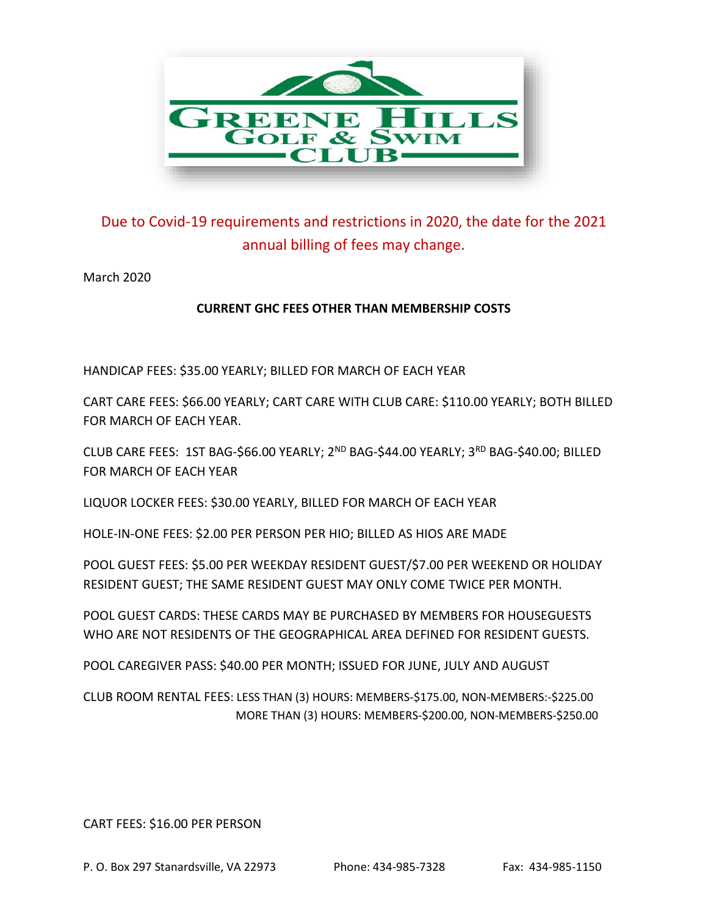

## Due to Covid-19 requirements and restrictions in 2020, the date for the 2021 annual billing of fees may change.

March 2020

## **CURRENT GHC FEES OTHER THAN MEMBERSHIP COSTS**

HANDICAP FEES: \$35.00 YEARLY; BILLED FOR MARCH OF EACH YEAR

CART CARE FEES: \$66.00 YEARLY; CART CARE WITH CLUB CARE: \$110.00 YEARLY; BOTH BILLED FOR MARCH OF EACH YEAR.

CLUB CARE FEES: 1ST BAG-\$66.00 YEARLY; 2<sup>ND</sup> BAG-\$44.00 YEARLY; 3<sup>RD</sup> BAG-\$40.00; BILLED FOR MARCH OF EACH YEAR

LIQUOR LOCKER FEES: \$30.00 YEARLY, BILLED FOR MARCH OF EACH YEAR

HOLE-IN-ONE FEES: \$2.00 PER PERSON PER HIO; BILLED AS HIOS ARE MADE

POOL GUEST FEES: \$5.00 PER WEEKDAY RESIDENT GUEST/\$7.00 PER WEEKEND OR HOLIDAY RESIDENT GUEST; THE SAME RESIDENT GUEST MAY ONLY COME TWICE PER MONTH.

POOL GUEST CARDS: THESE CARDS MAY BE PURCHASED BY MEMBERS FOR HOUSEGUESTS WHO ARE NOT RESIDENTS OF THE GEOGRAPHICAL AREA DEFINED FOR RESIDENT GUESTS.

POOL CAREGIVER PASS: \$40.00 PER MONTH; ISSUED FOR JUNE, JULY AND AUGUST

CLUB ROOM RENTAL FEES: LESS THAN (3) HOURS: MEMBERS-\$175.00, NON-MEMBERS:-\$225.00 MORE THAN (3) HOURS: MEMBERS-\$200.00, NON-MEMBERS-\$250.00

CART FEES: \$16.00 PER PERSON